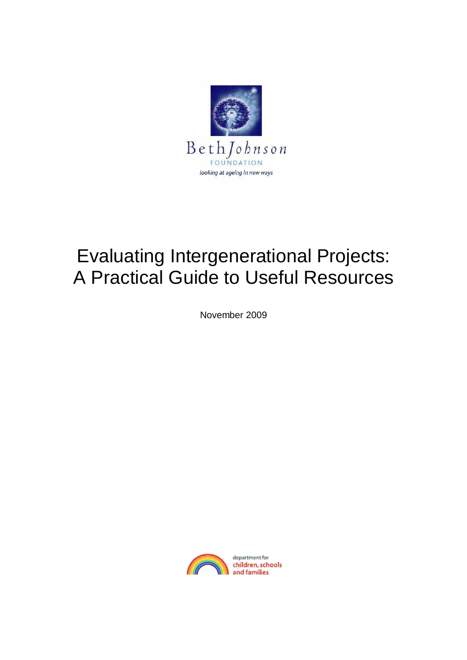

# Evaluating Intergenerational Projects: A Practical Guide to Useful Resources

November 2009

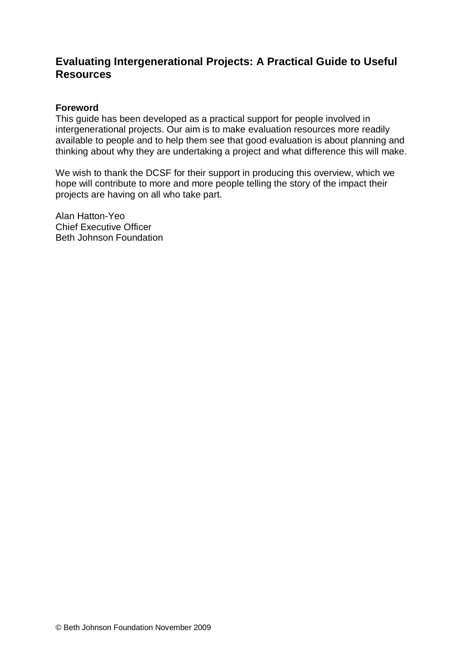# **Evaluating Intergenerational Projects: A Practical Guide to Useful Resources**

#### **Foreword**

This guide has been developed as a practical support for people involved in intergenerational projects. Our aim is to make evaluation resources more readily available to people and to help them see that good evaluation is about planning and thinking about why they are undertaking a project and what difference this will make.

We wish to thank the DCSF for their support in producing this overview, which we hope will contribute to more and more people telling the story of the impact their projects are having on all who take part.

Alan Hatton-Yeo Chief Executive Officer Beth Johnson Foundation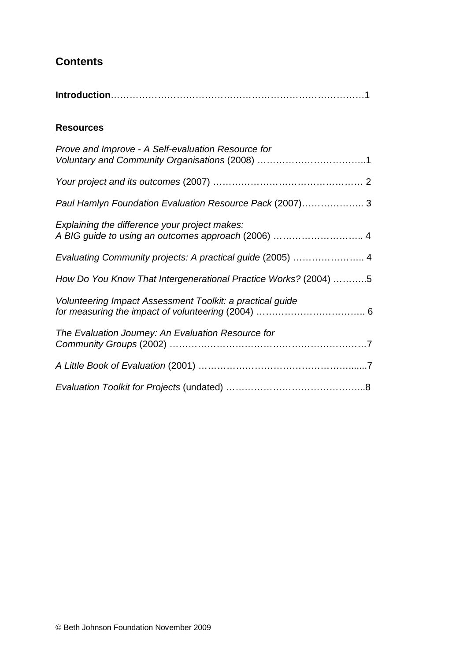# **Contents**

|--|

#### **Resources**

| Prove and Improve - A Self-evaluation Resource for              |
|-----------------------------------------------------------------|
|                                                                 |
| Paul Hamlyn Foundation Evaluation Resource Pack (2007) 3        |
| Explaining the difference your project makes:                   |
| Evaluating Community projects: A practical guide (2005)  4      |
| How Do You Know That Intergenerational Practice Works? (2004) 5 |
| Volunteering Impact Assessment Toolkit: a practical guide       |
| The Evaluation Journey: An Evaluation Resource for              |
|                                                                 |
|                                                                 |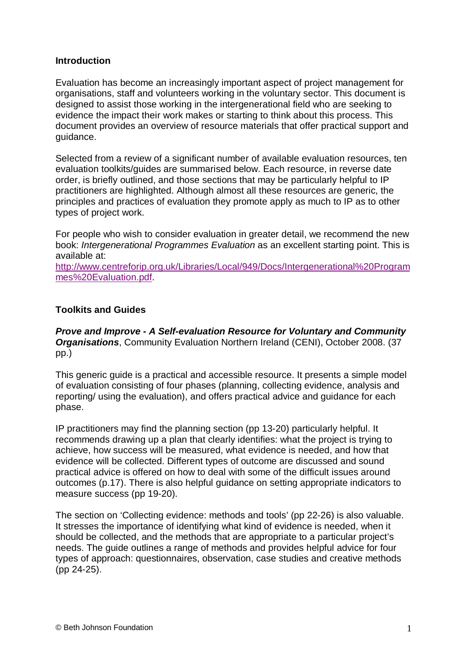#### **Introduction**

Evaluation has become an increasingly important aspect of project management for organisations, staff and volunteers working in the voluntary sector. This document is designed to assist those working in the intergenerational field who are seeking to evidence the impact their work makes or starting to think about this process. This document provides an overview of resource materials that offer practical support and guidance.

Selected from a review of a significant number of available evaluation resources, ten evaluation toolkits/guides are summarised below. Each resource, in reverse date order, is briefly outlined, and those sections that may be particularly helpful to IP practitioners are highlighted. Although almost all these resources are generic, the principles and practices of evaluation they promote apply as much to IP as to other types of project work.

For people who wish to consider evaluation in greater detail, we recommend the new book: *Intergenerational Programmes Evaluation* as an excellent starting point. This is available at:

http://www.centreforip.org.uk/Libraries/Local/949/Docs/Intergenerational%20Program mes%20Evaluation.pdf.

## **Toolkits and Guides**

*Prove and Improve - A Self-evaluation Resource for Voluntary and Community Organisations*, Community Evaluation Northern Ireland (CENI), October 2008. (37 pp.)

This generic guide is a practical and accessible resource. It presents a simple model of evaluation consisting of four phases (planning, collecting evidence, analysis and reporting/ using the evaluation), and offers practical advice and guidance for each phase.

IP practitioners may find the planning section (pp 13-20) particularly helpful. It recommends drawing up a plan that clearly identifies: what the project is trying to achieve, how success will be measured, what evidence is needed, and how that evidence will be collected. Different types of outcome are discussed and sound practical advice is offered on how to deal with some of the difficult issues around outcomes (p.17). There is also helpful guidance on setting appropriate indicators to measure success (pp 19-20).

The section on 'Collecting evidence: methods and tools' (pp 22-26) is also valuable. It stresses the importance of identifying what kind of evidence is needed, when it should be collected, and the methods that are appropriate to a particular project's needs. The guide outlines a range of methods and provides helpful advice for four types of approach: questionnaires, observation, case studies and creative methods (pp 24-25).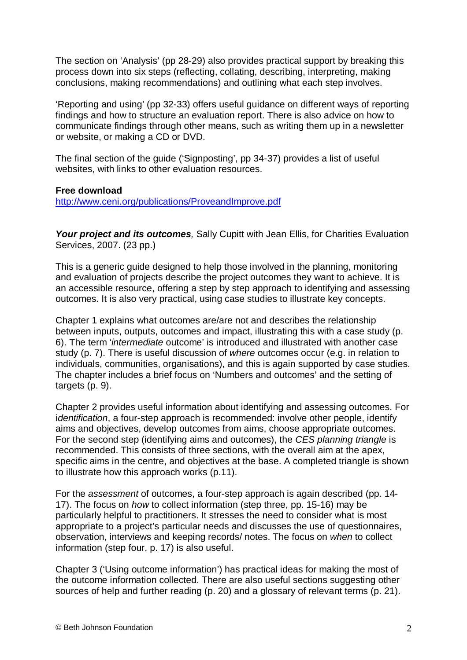The section on 'Analysis' (pp 28-29) also provides practical support by breaking this process down into six steps (reflecting, collating, describing, interpreting, making conclusions, making recommendations) and outlining what each step involves.

'Reporting and using' (pp 32-33) offers useful guidance on different ways of reporting findings and how to structure an evaluation report. There is also advice on how to communicate findings through other means, such as writing them up in a newsletter or website, or making a CD or DVD.

The final section of the guide ('Signposting', pp 34-37) provides a list of useful websites, with links to other evaluation resources.

**Free download**

http://www.ceni.org/publications/ProveandImprove.pdf

Your project and its outcomes, Sally Cupitt with Jean Ellis, for Charities Evaluation Services, 2007. (23 pp.)

This is a generic guide designed to help those involved in the planning, monitoring and evaluation of projects describe the project outcomes they want to achieve. It is an accessible resource, offering a step by step approach to identifying and assessing outcomes. It is also very practical, using case studies to illustrate key concepts.

Chapter 1 explains what outcomes are/are not and describes the relationship between inputs, outputs, outcomes and impact, illustrating this with a case study (p. 6). The term '*intermediate* outcome' is introduced and illustrated with another case study (p. 7). There is useful discussion of *where* outcomes occur (e.g. in relation to individuals, communities, organisations), and this is again supported by case studies. The chapter includes a brief focus on 'Numbers and outcomes' and the setting of targets (p. 9).

Chapter 2 provides useful information about identifying and assessing outcomes. For i*dentification*, a four-step approach is recommended: involve other people, identify aims and objectives, develop outcomes from aims, choose appropriate outcomes. For the second step (identifying aims and outcomes), the *CES planning triangle* is recommended. This consists of three sections, with the overall aim at the apex, specific aims in the centre, and objectives at the base. A completed triangle is shown to illustrate how this approach works (p.11).

For the *assessment* of outcomes, a four-step approach is again described (pp. 14- 17). The focus on *how* to collect information (step three, pp. 15-16) may be particularly helpful to practitioners. It stresses the need to consider what is most appropriate to a project's particular needs and discusses the use of questionnaires, observation, interviews and keeping records/ notes. The focus on *when* to collect information (step four, p. 17) is also useful.

Chapter 3 ('Using outcome information') has practical ideas for making the most of the outcome information collected. There are also useful sections suggesting other sources of help and further reading (p. 20) and a glossary of relevant terms (p. 21).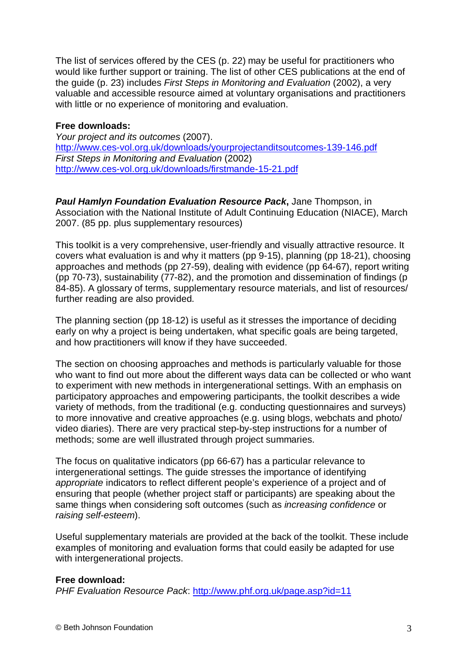The list of services offered by the CES (p. 22) may be useful for practitioners who would like further support or training. The list of other CES publications at the end of the guide (p. 23) includes *First Steps in Monitoring and Evaluation* (2002), a very valuable and accessible resource aimed at voluntary organisations and practitioners with little or no experience of monitoring and evaluation.

#### **Free downloads:**

*Your project and its outcomes* (2007). http://www.ces-vol.org.uk/downloads/yourprojectanditsoutcomes-139-146.pdf *First Steps in Monitoring and Evaluation* (2002) http://www.ces-vol.org.uk/downloads/firstmande-15-21.pdf

*Paul Hamlyn Foundation Evaluation Resource Pack***,** Jane Thompson, in Association with the National Institute of Adult Continuing Education (NIACE), March 2007. (85 pp. plus supplementary resources)

This toolkit is a very comprehensive, user-friendly and visually attractive resource. It covers what evaluation is and why it matters (pp 9-15), planning (pp 18-21), choosing approaches and methods (pp 27-59), dealing with evidence (pp 64-67), report writing (pp 70-73), sustainability (77-82), and the promotion and dissemination of findings (p 84-85). A glossary of terms, supplementary resource materials, and list of resources/ further reading are also provided.

The planning section (pp 18-12) is useful as it stresses the importance of deciding early on why a project is being undertaken, what specific goals are being targeted, and how practitioners will know if they have succeeded.

The section on choosing approaches and methods is particularly valuable for those who want to find out more about the different ways data can be collected or who want to experiment with new methods in intergenerational settings. With an emphasis on participatory approaches and empowering participants, the toolkit describes a wide variety of methods, from the traditional (e.g. conducting questionnaires and surveys) to more innovative and creative approaches (e.g. using blogs, webchats and photo/ video diaries). There are very practical step-by-step instructions for a number of methods; some are well illustrated through project summaries.

The focus on qualitative indicators (pp 66-67) has a particular relevance to intergenerational settings. The guide stresses the importance of identifying *appropriate* indicators to reflect different people's experience of a project and of ensuring that people (whether project staff or participants) are speaking about the same things when considering soft outcomes (such as *increasing confidence* or *raising self-esteem*).

Useful supplementary materials are provided at the back of the toolkit. These include examples of monitoring and evaluation forms that could easily be adapted for use with intergenerational projects.

#### **Free download:**

*PHF Evaluation Resource Pack*: http://www.phf.org.uk/page.asp?id=11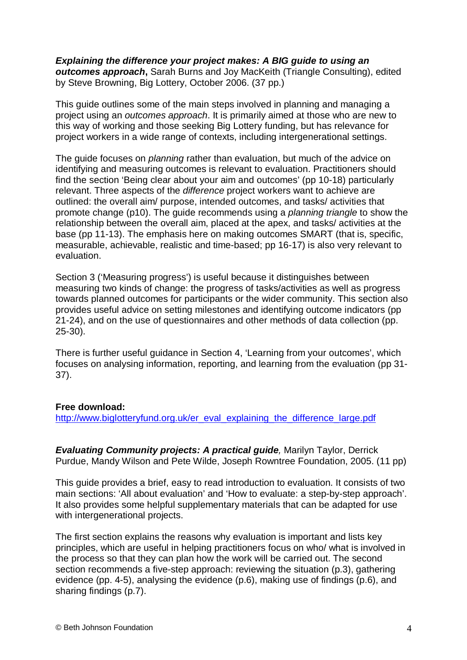*Explaining the difference your project makes: A BIG guide to using an outcomes approach***,** Sarah Burns and Joy MacKeith (Triangle Consulting), edited by Steve Browning, Big Lottery, October 2006. (37 pp.)

This guide outlines some of the main steps involved in planning and managing a project using an *outcomes approach*. It is primarily aimed at those who are new to this way of working and those seeking Big Lottery funding, but has relevance for project workers in a wide range of contexts, including intergenerational settings.

The guide focuses on *planning* rather than evaluation, but much of the advice on identifying and measuring outcomes is relevant to evaluation. Practitioners should find the section 'Being clear about your aim and outcomes' (pp 10-18) particularly relevant. Three aspects of the *difference* project workers want to achieve are outlined: the overall aim/ purpose, intended outcomes, and tasks/ activities that promote change (p10). The guide recommends using a *planning triangle* to show the relationship between the overall aim, placed at the apex, and tasks/ activities at the base (pp 11-13). The emphasis here on making outcomes SMART (that is, specific, measurable, achievable, realistic and time-based; pp 16-17) is also very relevant to evaluation.

Section 3 ('Measuring progress') is useful because it distinguishes between measuring two kinds of change: the progress of tasks/activities as well as progress towards planned outcomes for participants or the wider community. This section also provides useful advice on setting milestones and identifying outcome indicators (pp 21-24), and on the use of questionnaires and other methods of data collection (pp. 25-30).

There is further useful guidance in Section 4, 'Learning from your outcomes', which focuses on analysing information, reporting, and learning from the evaluation (pp 31- 37).

#### **Free download:**

http://www.biglotteryfund.org.uk/er\_eval\_explaining\_the\_difference\_large.pdf

*Evaluating Community projects: A practical guide, Marilyn Taylor, Derrick* Purdue, Mandy Wilson and Pete Wilde, Joseph Rowntree Foundation, 2005. (11 pp)

This guide provides a brief, easy to read introduction to evaluation. It consists of two main sections: 'All about evaluation' and 'How to evaluate: a step-by-step approach'. It also provides some helpful supplementary materials that can be adapted for use with intergenerational projects.

The first section explains the reasons why evaluation is important and lists key principles, which are useful in helping practitioners focus on who/ what is involved in the process so that they can plan how the work will be carried out. The second section recommends a five-step approach: reviewing the situation (p.3), gathering evidence (pp. 4-5), analysing the evidence (p.6), making use of findings (p.6), and sharing findings (p.7).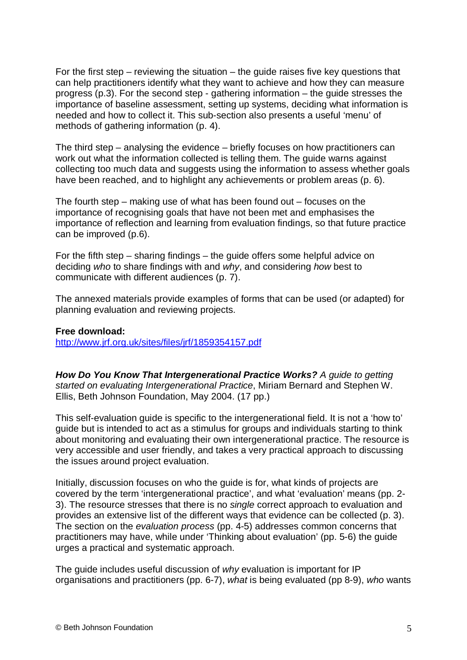For the first step – reviewing the situation – the quide raises five key questions that can help practitioners identify what they want to achieve and how they can measure progress (p.3). For the second step - gathering information – the guide stresses the importance of baseline assessment, setting up systems, deciding what information is needed and how to collect it. This sub-section also presents a useful 'menu' of methods of gathering information (p. 4).

The third step – analysing the evidence – briefly focuses on how practitioners can work out what the information collected is telling them. The guide warns against collecting too much data and suggests using the information to assess whether goals have been reached, and to highlight any achievements or problem areas (p. 6).

The fourth step – making use of what has been found out – focuses on the importance of recognising goals that have not been met and emphasises the importance of reflection and learning from evaluation findings, so that future practice can be improved (p.6).

For the fifth step – sharing findings – the guide offers some helpful advice on deciding *who* to share findings with and *why*, and considering *how* best to communicate with different audiences (p. 7).

The annexed materials provide examples of forms that can be used (or adapted) for planning evaluation and reviewing projects.

#### **Free download:**

http://www.jrf.org.uk/sites/files/jrf/1859354157.pdf

*How Do You Know That Intergenerational Practice Works? A guide to getting started on evaluating Intergenerational Practice*, Miriam Bernard and Stephen W. Ellis, Beth Johnson Foundation, May 2004. (17 pp.)

This self-evaluation guide is specific to the intergenerational field. It is not a 'how to' guide but is intended to act as a stimulus for groups and individuals starting to think about monitoring and evaluating their own intergenerational practice. The resource is very accessible and user friendly, and takes a very practical approach to discussing the issues around project evaluation.

Initially, discussion focuses on who the guide is for, what kinds of projects are covered by the term 'intergenerational practice', and what 'evaluation' means (pp. 2- 3). The resource stresses that there is no *single* correct approach to evaluation and provides an extensive list of the different ways that evidence can be collected (p. 3). The section on the *evaluation process* (pp. 4-5) addresses common concerns that practitioners may have, while under 'Thinking about evaluation' (pp. 5-6) the guide urges a practical and systematic approach.

The guide includes useful discussion of *why* evaluation is important for IP organisations and practitioners (pp. 6-7), *what* is being evaluated (pp 8-9), *who* wants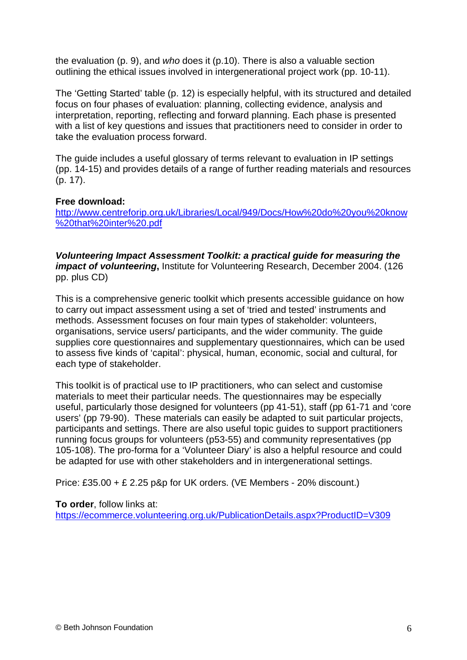the evaluation (p. 9), and *who* does it (p.10). There is also a valuable section outlining the ethical issues involved in intergenerational project work (pp. 10-11).

The 'Getting Started' table (p. 12) is especially helpful, with its structured and detailed focus on four phases of evaluation: planning, collecting evidence, analysis and interpretation, reporting, reflecting and forward planning. Each phase is presented with a list of key questions and issues that practitioners need to consider in order to take the evaluation process forward.

The guide includes a useful glossary of terms relevant to evaluation in IP settings (pp. 14-15) and provides details of a range of further reading materials and resources (p. 17).

#### **Free download:**

http://www.centreforip.org.uk/Libraries/Local/949/Docs/How%20do%20you%20know %20that%20inter%20.pdf

*Volunteering Impact Assessment Toolkit: a practical guide for measuring the impact of volunteering*, Institute for Volunteering Research, December 2004. (126 pp. plus CD)

This is a comprehensive generic toolkit which presents accessible guidance on how to carry out impact assessment using a set of 'tried and tested' instruments and methods. Assessment focuses on four main types of stakeholder: volunteers, organisations, service users/ participants, and the wider community. The guide supplies core questionnaires and supplementary questionnaires, which can be used to assess five kinds of 'capital': physical, human, economic, social and cultural, for each type of stakeholder.

This toolkit is of practical use to IP practitioners, who can select and customise materials to meet their particular needs. The questionnaires may be especially useful, particularly those designed for volunteers (pp 41-51), staff (pp 61-71 and 'core users' (pp 79-90). These materials can easily be adapted to suit particular projects, participants and settings. There are also useful topic guides to support practitioners running focus groups for volunteers (p53-55) and community representatives (pp 105-108). The pro-forma for a 'Volunteer Diary' is also a helpful resource and could be adapted for use with other stakeholders and in intergenerational settings.

Price: £35.00 + £ 2.25 p&p for UK orders. (VE Members - 20% discount.)

#### **To order**, follow links at:

https://ecommerce.volunteering.org.uk/PublicationDetails.aspx?ProductID=V309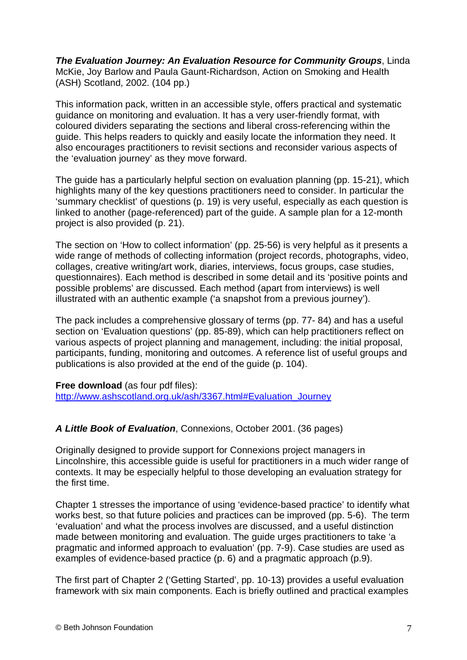*The Evaluation Journey: An Evaluation Resource for Community Groups*, Linda McKie, Joy Barlow and Paula Gaunt-Richardson, Action on Smoking and Health (ASH) Scotland, 2002. (104 pp.)

This information pack, written in an accessible style, offers practical and systematic guidance on monitoring and evaluation. It has a very user-friendly format, with coloured dividers separating the sections and liberal cross-referencing within the guide. This helps readers to quickly and easily locate the information they need. It also encourages practitioners to revisit sections and reconsider various aspects of the 'evaluation journey' as they move forward.

The guide has a particularly helpful section on evaluation planning (pp. 15-21), which highlights many of the key questions practitioners need to consider. In particular the 'summary checklist' of questions (p. 19) is very useful, especially as each question is linked to another (page-referenced) part of the guide. A sample plan for a 12-month project is also provided (p. 21).

The section on 'How to collect information' (pp. 25-56) is very helpful as it presents a wide range of methods of collecting information (project records, photographs, video, collages, creative writing/art work, diaries, interviews, focus groups, case studies, questionnaires). Each method is described in some detail and its 'positive points and possible problems' are discussed. Each method (apart from interviews) is well illustrated with an authentic example ('a snapshot from a previous journey').

The pack includes a comprehensive glossary of terms (pp. 77- 84) and has a useful section on 'Evaluation questions' (pp. 85-89), which can help practitioners reflect on various aspects of project planning and management, including: the initial proposal, participants, funding, monitoring and outcomes. A reference list of useful groups and publications is also provided at the end of the guide (p. 104).

**Free download** (as four pdf files):

http://www.ashscotland.org.uk/ash/3367.html#Evaluation\_Journey

## *A Little Book of Evaluation*, Connexions, October 2001. (36 pages)

Originally designed to provide support for Connexions project managers in Lincolnshire, this accessible guide is useful for practitioners in a much wider range of contexts. It may be especially helpful to those developing an evaluation strategy for the first time.

Chapter 1 stresses the importance of using 'evidence-based practice' to identify what works best, so that future policies and practices can be improved (pp. 5-6). The term 'evaluation' and what the process involves are discussed, and a useful distinction made between monitoring and evaluation. The guide urges practitioners to take 'a pragmatic and informed approach to evaluation' (pp. 7-9). Case studies are used as examples of evidence-based practice (p. 6) and a pragmatic approach (p.9).

The first part of Chapter 2 ('Getting Started', pp. 10-13) provides a useful evaluation framework with six main components. Each is briefly outlined and practical examples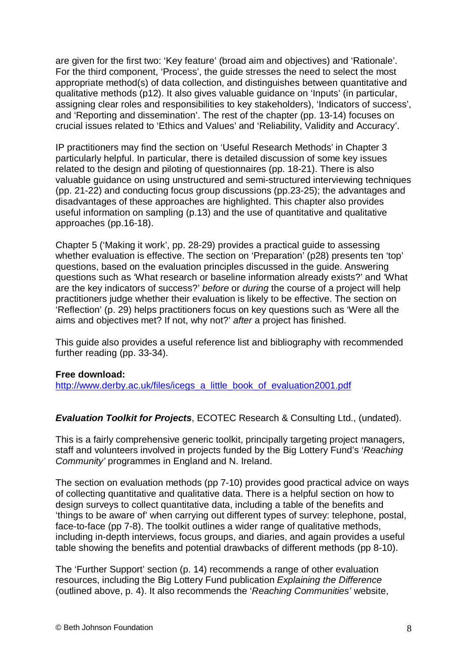are given for the first two: 'Key feature' (broad aim and objectives) and 'Rationale'. For the third component, 'Process', the guide stresses the need to select the most appropriate method(s) of data collection, and distinguishes between quantitative and qualitative methods (p12). It also gives valuable guidance on 'Inputs' (in particular, assigning clear roles and responsibilities to key stakeholders), 'Indicators of success', and 'Reporting and dissemination'. The rest of the chapter (pp. 13-14) focuses on crucial issues related to 'Ethics and Values' and 'Reliability, Validity and Accuracy'.

IP practitioners may find the section on 'Useful Research Methods' in Chapter 3 particularly helpful. In particular, there is detailed discussion of some key issues related to the design and piloting of questionnaires (pp. 18-21). There is also valuable guidance on using unstructured and semi-structured interviewing techniques (pp. 21-22) and conducting focus group discussions (pp.23-25); the advantages and disadvantages of these approaches are highlighted. This chapter also provides useful information on sampling (p.13) and the use of quantitative and qualitative approaches (pp.16-18).

Chapter 5 ('Making it work', pp. 28-29) provides a practical guide to assessing whether evaluation is effective. The section on 'Preparation' (p28) presents ten 'top' questions, based on the evaluation principles discussed in the guide. Answering questions such as 'What research or baseline information already exists?' and 'What are the key indicators of success?' *before* or *during* the course of a project will help practitioners judge whether their evaluation is likely to be effective. The section on 'Reflection' (p. 29) helps practitioners focus on key questions such as 'Were all the aims and objectives met? If not, why not?' *after* a project has finished.

This guide also provides a useful reference list and bibliography with recommended further reading (pp. 33-34).

#### **Free download:**

http://www.derby.ac.uk/files/icegs\_a\_little\_book\_of\_evaluation2001.pdf

#### *Evaluation Toolkit for Projects*, ECOTEC Research & Consulting Ltd., (undated).

This is a fairly comprehensive generic toolkit, principally targeting project managers, staff and volunteers involved in projects funded by the Big Lottery Fund's '*Reaching Community'* programmes in England and N. Ireland.

The section on evaluation methods (pp 7-10) provides good practical advice on ways of collecting quantitative and qualitative data. There is a helpful section on how to design surveys to collect quantitative data, including a table of the benefits and 'things to be aware of' when carrying out different types of survey: telephone, postal, face-to-face (pp 7-8). The toolkit outlines a wider range of qualitative methods, including in-depth interviews, focus groups, and diaries, and again provides a useful table showing the benefits and potential drawbacks of different methods (pp 8-10).

The 'Further Support' section (p. 14) recommends a range of other evaluation resources, including the Big Lottery Fund publication *Explaining the Difference*  (outlined above, p. 4). It also recommends the '*Reaching Communities'* website,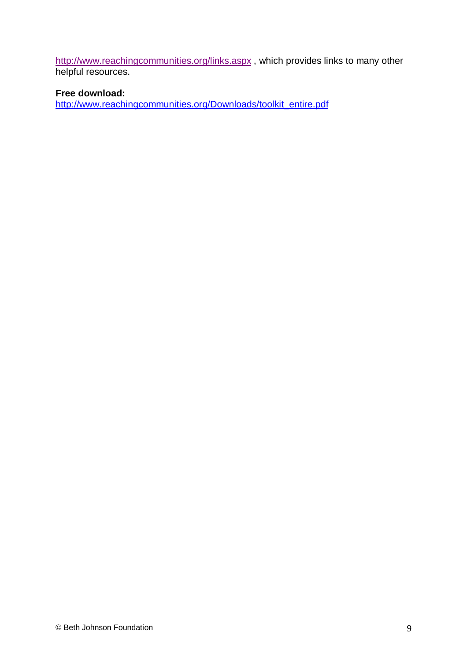http://www.reachingcommunities.org/links.aspx , which provides links to many other helpful resources.

## **Free download:**

http://www.reachingcommunities.org/Downloads/toolkit\_entire.pdf